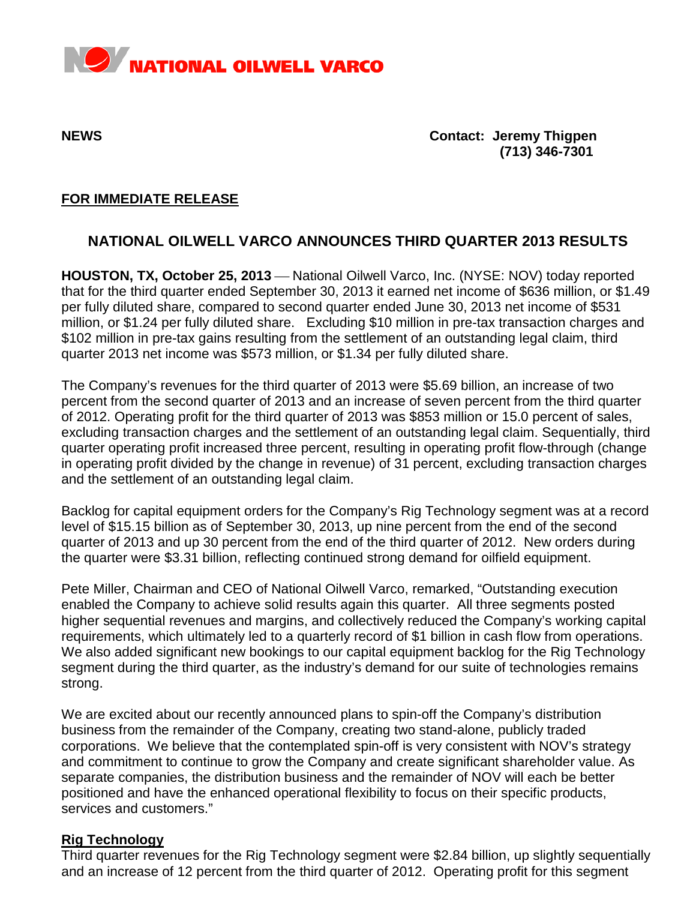

**NEWS Contact: Jeremy Thigpen (713) 346-7301**

## **FOR IMMEDIATE RELEASE**

# **NATIONAL OILWELL VARCO ANNOUNCES THIRD QUARTER 2013 RESULTS**

**HOUSTON, TX, October 25, 2013** — National Oilwell Varco, Inc. (NYSE: NOV) today reported that for the third quarter ended September 30, 2013 it earned net income of \$636 million, or \$1.49 per fully diluted share, compared to second quarter ended June 30, 2013 net income of \$531 million, or \$1.24 per fully diluted share. Excluding \$10 million in pre-tax transaction charges and \$102 million in pre-tax gains resulting from the settlement of an outstanding legal claim, third quarter 2013 net income was \$573 million, or \$1.34 per fully diluted share.

The Company's revenues for the third quarter of 2013 were \$5.69 billion, an increase of two percent from the second quarter of 2013 and an increase of seven percent from the third quarter of 2012. Operating profit for the third quarter of 2013 was \$853 million or 15.0 percent of sales, excluding transaction charges and the settlement of an outstanding legal claim. Sequentially, third quarter operating profit increased three percent, resulting in operating profit flow-through (change in operating profit divided by the change in revenue) of 31 percent, excluding transaction charges and the settlement of an outstanding legal claim.

Backlog for capital equipment orders for the Company's Rig Technology segment was at a record level of \$15.15 billion as of September 30, 2013, up nine percent from the end of the second quarter of 2013 and up 30 percent from the end of the third quarter of 2012. New orders during the quarter were \$3.31 billion, reflecting continued strong demand for oilfield equipment.

Pete Miller, Chairman and CEO of National Oilwell Varco, remarked, "Outstanding execution enabled the Company to achieve solid results again this quarter. All three segments posted higher sequential revenues and margins, and collectively reduced the Company's working capital requirements, which ultimately led to a quarterly record of \$1 billion in cash flow from operations. We also added significant new bookings to our capital equipment backlog for the Rig Technology segment during the third quarter, as the industry's demand for our suite of technologies remains strong.

We are excited about our recently announced plans to spin-off the Company's distribution business from the remainder of the Company, creating two stand-alone, publicly traded corporations. We believe that the contemplated spin-off is very consistent with NOV's strategy and commitment to continue to grow the Company and create significant shareholder value. As separate companies, the distribution business and the remainder of NOV will each be better positioned and have the enhanced operational flexibility to focus on their specific products, services and customers."

## **Rig Technology**

Third quarter revenues for the Rig Technology segment were \$2.84 billion, up slightly sequentially and an increase of 12 percent from the third quarter of 2012. Operating profit for this segment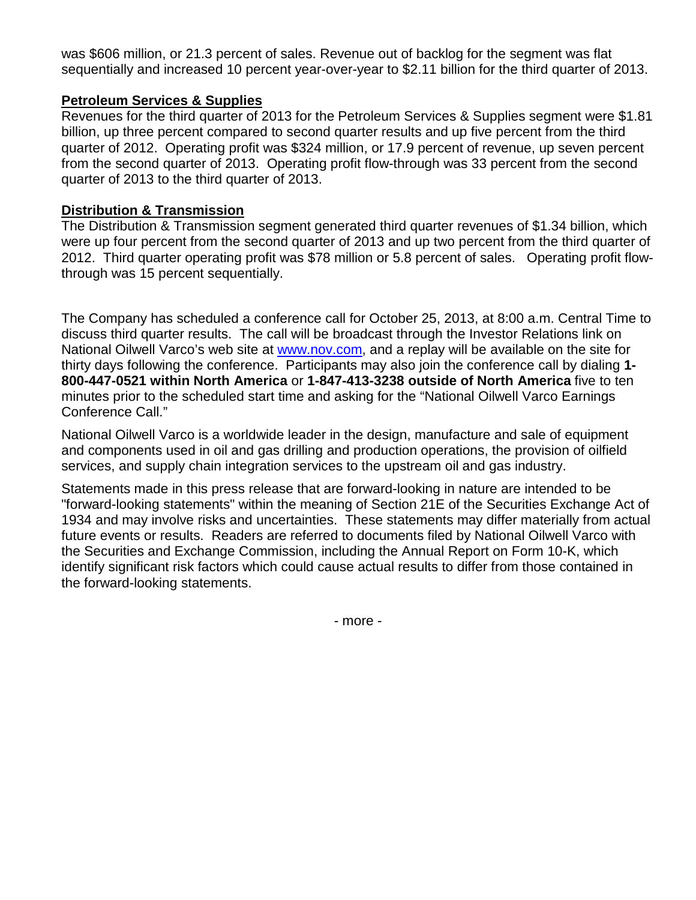was \$606 million, or 21.3 percent of sales. Revenue out of backlog for the segment was flat sequentially and increased 10 percent year-over-year to \$2.11 billion for the third quarter of 2013.

## **Petroleum Services & Supplies**

Revenues for the third quarter of 2013 for the Petroleum Services & Supplies segment were \$1.81 billion, up three percent compared to second quarter results and up five percent from the third quarter of 2012. Operating profit was \$324 million, or 17.9 percent of revenue, up seven percent from the second quarter of 2013. Operating profit flow-through was 33 percent from the second quarter of 2013 to the third quarter of 2013.

### **Distribution & Transmission**

The Distribution & Transmission segment generated third quarter revenues of \$1.34 billion, which were up four percent from the second quarter of 2013 and up two percent from the third quarter of 2012. Third quarter operating profit was \$78 million or 5.8 percent of sales. Operating profit flowthrough was 15 percent sequentially.

The Company has scheduled a conference call for October 25, 2013, at 8:00 a.m. Central Time to discuss third quarter results. The call will be broadcast through the Investor Relations link on National Oilwell Varco's web site at [www.nov.com,](http://www.nov.com/) and a replay will be available on the site for thirty days following the conference. Participants may also join the conference call by dialing **1- 800-447-0521 within North America** or **1-847-413-3238 outside of North America** five to ten minutes prior to the scheduled start time and asking for the "National Oilwell Varco Earnings Conference Call."

National Oilwell Varco is a worldwide leader in the design, manufacture and sale of equipment and components used in oil and gas drilling and production operations, the provision of oilfield services, and supply chain integration services to the upstream oil and gas industry.

Statements made in this press release that are forward-looking in nature are intended to be "forward-looking statements" within the meaning of Section 21E of the Securities Exchange Act of 1934 and may involve risks and uncertainties. These statements may differ materially from actual future events or results. Readers are referred to documents filed by National Oilwell Varco with the Securities and Exchange Commission, including the Annual Report on Form 10-K, which identify significant risk factors which could cause actual results to differ from those contained in the forward-looking statements.

- more -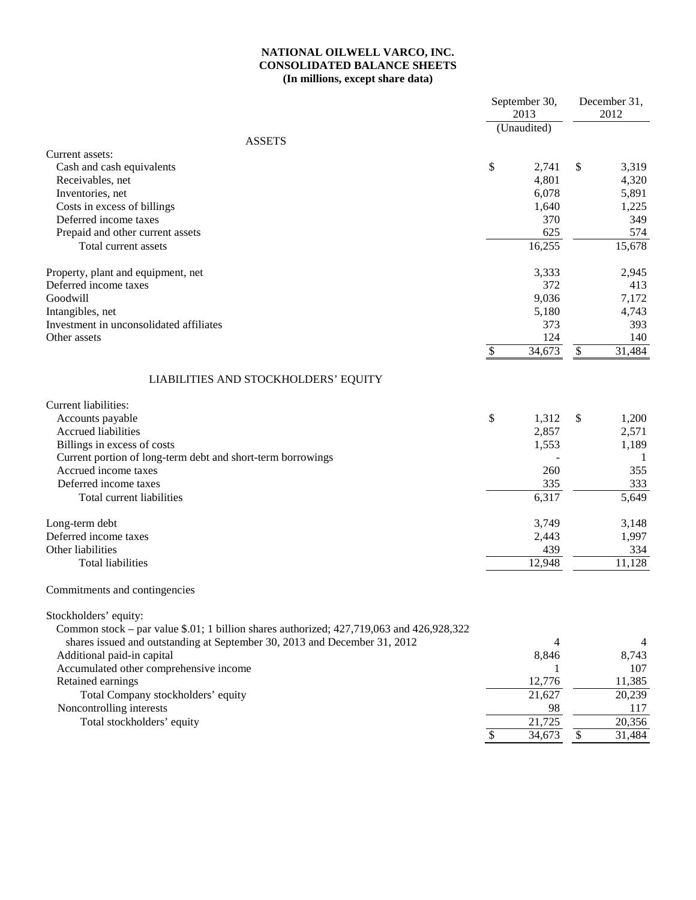### **NATIONAL OILWELL VARCO, INC. CONSOLIDATED BALANCE SHEETS (In millions, except share data)**

|                                                                                          | September 30,<br>2013<br>(Unaudited) |                           | December 31,<br>2012 |
|------------------------------------------------------------------------------------------|--------------------------------------|---------------------------|----------------------|
| <b>ASSETS</b>                                                                            |                                      |                           |                      |
| Current assets:                                                                          |                                      |                           |                      |
| Cash and cash equivalents                                                                | \$<br>2,741                          | \$                        | 3,319                |
| Receivables, net                                                                         | 4,801                                |                           | 4,320                |
| Inventories, net                                                                         | 6,078                                |                           | 5,891                |
| Costs in excess of billings<br>Deferred income taxes                                     | 1,640<br>370                         |                           | 1,225<br>349         |
|                                                                                          |                                      |                           | 574                  |
| Prepaid and other current assets                                                         | 625                                  |                           |                      |
| Total current assets                                                                     | 16,255                               |                           | 15,678               |
| Property, plant and equipment, net                                                       | 3,333                                |                           | 2,945                |
| Deferred income taxes                                                                    | 372                                  |                           | 413                  |
| Goodwill                                                                                 | 9,036                                |                           | 7,172                |
| Intangibles, net                                                                         | 5,180                                |                           | 4,743                |
| Investment in unconsolidated affiliates                                                  | 373                                  |                           | 393                  |
| Other assets                                                                             | 124                                  |                           | 140                  |
|                                                                                          | \$<br>34,673                         | $\boldsymbol{\mathsf{S}}$ | 31,484               |
| LIABILITIES AND STOCKHOLDERS' EQUITY                                                     |                                      |                           |                      |
| Current liabilities:                                                                     |                                      |                           |                      |
| Accounts payable                                                                         | \$<br>1,312                          | \$                        | 1,200                |
| <b>Accrued liabilities</b>                                                               | 2,857                                |                           | 2,571                |
| Billings in excess of costs                                                              | 1,553                                |                           | 1,189                |
| Current portion of long-term debt and short-term borrowings                              |                                      |                           | -1                   |
| Accrued income taxes                                                                     | 260                                  |                           | 355                  |
| Deferred income taxes                                                                    | 335                                  |                           | 333                  |
| Total current liabilities                                                                | 6,317                                |                           | 5,649                |
| Long-term debt                                                                           | 3,749                                |                           | 3,148                |
| Deferred income taxes                                                                    | 2,443                                |                           | 1,997                |
| Other liabilities                                                                        | 439                                  |                           | 334                  |
| <b>Total liabilities</b>                                                                 | 12,948                               |                           | 11,128               |
| Commitments and contingencies                                                            |                                      |                           |                      |
| Stockholders' equity:                                                                    |                                      |                           |                      |
| Common stock – par value \$.01; 1 billion shares authorized; 427,719,063 and 426,928,322 |                                      |                           |                      |
| shares issued and outstanding at September 30, 2013 and December 31, 2012                | 4                                    |                           | 4                    |
| Additional paid-in capital                                                               | 8,846                                |                           | 8,743                |
| Accumulated other comprehensive income                                                   |                                      |                           | 107                  |
| Retained earnings                                                                        | 12,776                               |                           | 11,385               |
| Total Company stockholders' equity                                                       | 21,627                               |                           | 20,239               |
| Noncontrolling interests                                                                 | 98                                   |                           | 117                  |
| Total stockholders' equity                                                               | 21,725                               |                           | 20,356               |
|                                                                                          | \$<br>34,673                         | $\boldsymbol{\mathsf{S}}$ | 31,484               |
|                                                                                          |                                      |                           |                      |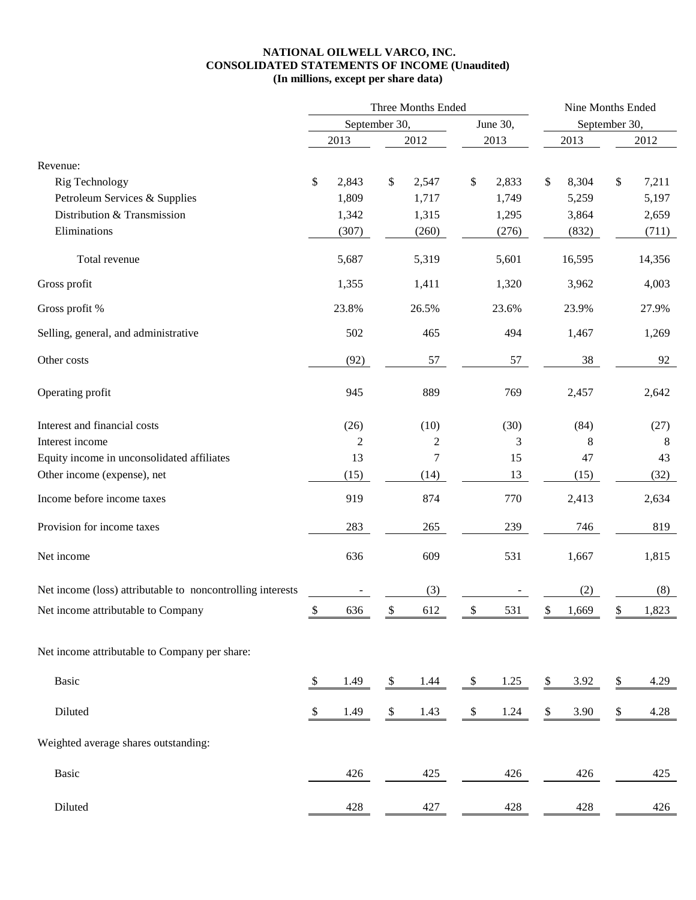### **NATIONAL OILWELL VARCO, INC. CONSOLIDATED STATEMENTS OF INCOME (Unaudited) (In millions, except per share data)**

|                                                            | Three Months Ended        |                |               |                |          |       |    | Nine Months Ended |               |        |  |  |
|------------------------------------------------------------|---------------------------|----------------|---------------|----------------|----------|-------|----|-------------------|---------------|--------|--|--|
|                                                            |                           |                | September 30, |                | June 30, |       |    |                   | September 30, |        |  |  |
|                                                            |                           | 2013           |               | 2012           |          | 2013  |    | 2013              |               | 2012   |  |  |
| Revenue:                                                   |                           |                |               |                |          |       |    |                   |               |        |  |  |
| Rig Technology                                             | \$                        | 2,843          | \$            | 2,547          | \$       | 2,833 | \$ | 8,304             | \$            | 7,211  |  |  |
| Petroleum Services & Supplies                              |                           | 1,809          |               | 1,717          |          | 1,749 |    | 5,259             |               | 5,197  |  |  |
| Distribution & Transmission                                |                           | 1,342          |               | 1,315          |          | 1,295 |    | 3,864             |               | 2,659  |  |  |
| Eliminations                                               |                           | (307)          |               | (260)          |          | (276) |    | (832)             |               | (711)  |  |  |
| Total revenue                                              |                           | 5,687          |               | 5,319          |          | 5,601 |    | 16,595            |               | 14,356 |  |  |
| Gross profit                                               |                           | 1,355          |               | 1,411          |          | 1,320 |    | 3,962             |               | 4,003  |  |  |
| Gross profit %                                             |                           | 23.8%          |               | 26.5%          |          | 23.6% |    | 23.9%             |               | 27.9%  |  |  |
| Selling, general, and administrative                       |                           | 502            |               | 465            |          | 494   |    | 1,467             |               | 1,269  |  |  |
| Other costs                                                |                           | (92)           |               | 57             |          | 57    |    | 38                |               | 92     |  |  |
| Operating profit                                           |                           | 945            |               | 889            |          | 769   |    | 2,457             |               | 2,642  |  |  |
| Interest and financial costs                               |                           | (26)           |               | (10)           |          | (30)  |    | (84)              |               | (27)   |  |  |
| Interest income                                            |                           | $\overline{c}$ |               | $\overline{c}$ |          | 3     |    | 8                 |               | 8      |  |  |
| Equity income in unconsolidated affiliates                 |                           | 13             |               | 7              |          | 15    |    | 47                |               | 43     |  |  |
| Other income (expense), net                                |                           | (15)           |               | (14)           |          | 13    |    | (15)              |               | (32)   |  |  |
| Income before income taxes                                 |                           | 919            |               | 874            |          | 770   |    | 2,413             |               | 2,634  |  |  |
| Provision for income taxes                                 |                           | 283            |               | 265            |          | 239   |    | 746               |               | 819    |  |  |
| Net income                                                 |                           | 636            |               | 609            |          | 531   |    | 1,667             |               | 1,815  |  |  |
| Net income (loss) attributable to noncontrolling interests |                           |                |               | (3)            |          |       |    | (2)               |               | (8)    |  |  |
| Net income attributable to Company                         | $\mathsf{S}$              | 636            | \$            | 612            | \$       | 531   | \$ | 1,669             | \$            | 1,823  |  |  |
| Net income attributable to Company per share:              |                           |                |               |                |          |       |    |                   |               |        |  |  |
| <b>Basic</b>                                               | $\boldsymbol{\mathsf{S}}$ | 1.49           | $\mathcal{L}$ | 1.44           | \$       | 1.25  | \$ | 3.92              | \$            | 4.29   |  |  |
| Diluted                                                    | $\boldsymbol{\mathsf{S}}$ | 1.49           | \$            | 1.43           | $\$$     | 1.24  | \$ | 3.90              | \$            | 4.28   |  |  |
| Weighted average shares outstanding:                       |                           |                |               |                |          |       |    |                   |               |        |  |  |
| Basic                                                      |                           | 426            |               | 425            |          | 426   |    | 426               |               | 425    |  |  |
| Diluted                                                    |                           | 428            |               | 427            |          | 428   |    | 428               |               | 426    |  |  |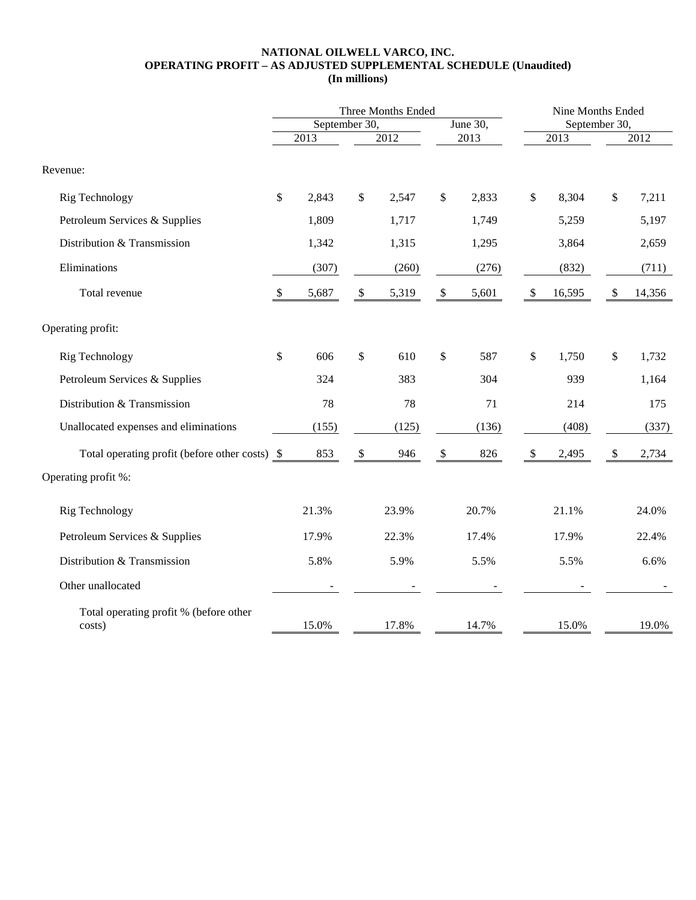#### **NATIONAL OILWELL VARCO, INC. OPERATING PROFIT – AS ADJUSTED SUPPLEMENTAL SCHEDULE (Unaudited) (In millions)**

|                                                  |                           |       |                           | Three Months Ended | Nine Months Ended         |       |                           |               |                           |        |
|--------------------------------------------------|---------------------------|-------|---------------------------|--------------------|---------------------------|-------|---------------------------|---------------|---------------------------|--------|
|                                                  | September 30,             |       |                           |                    | June 30,                  |       |                           | September 30, |                           |        |
|                                                  |                           | 2013  |                           | 2012               | 2013                      |       | 2013                      |               | 2012                      |        |
| Revenue:                                         |                           |       |                           |                    |                           |       |                           |               |                           |        |
| Rig Technology                                   | \$                        | 2,843 | \$                        | 2,547              | \$                        | 2,833 | \$                        | 8,304         | \$                        | 7,211  |
| Petroleum Services & Supplies                    |                           | 1,809 |                           | 1,717              |                           | 1,749 |                           | 5,259         |                           | 5,197  |
| Distribution & Transmission                      |                           | 1,342 |                           | 1,315              |                           | 1,295 |                           | 3,864         |                           | 2,659  |
| Eliminations                                     |                           | (307) |                           | (260)              |                           | (276) |                           | (832)         |                           | (711)  |
| Total revenue                                    | $\boldsymbol{\mathsf{S}}$ | 5,687 | $\mathcal{L}$             | 5,319              | $\boldsymbol{\mathsf{S}}$ | 5,601 | $\boldsymbol{\mathsf{S}}$ | 16,595        | $\boldsymbol{\mathsf{S}}$ | 14,356 |
| Operating profit:                                |                           |       |                           |                    |                           |       |                           |               |                           |        |
| Rig Technology                                   | \$                        | 606   | \$                        | 610                | \$                        | 587   | $\$$                      | 1,750         | \$                        | 1,732  |
| Petroleum Services & Supplies                    |                           | 324   |                           | 383                |                           | 304   |                           | 939           |                           | 1,164  |
| Distribution & Transmission                      |                           | 78    |                           | 78                 |                           | 71    |                           | 214           |                           | 175    |
| Unallocated expenses and eliminations            |                           | (155) |                           | (125)              |                           | (136) |                           | (408)         |                           | (337)  |
| Total operating profit (before other costs) \$   |                           | 853   | $\boldsymbol{\mathsf{S}}$ | 946                | $\boldsymbol{\mathsf{S}}$ | 826   | $\$\,$                    | 2,495         | $\sqrt[6]{\frac{1}{2}}$   | 2,734  |
| Operating profit %:                              |                           |       |                           |                    |                           |       |                           |               |                           |        |
| Rig Technology                                   |                           | 21.3% |                           | 23.9%              |                           | 20.7% |                           | 21.1%         |                           | 24.0%  |
| Petroleum Services & Supplies                    |                           | 17.9% |                           | 22.3%              |                           | 17.4% |                           | 17.9%         |                           | 22.4%  |
| Distribution & Transmission                      |                           | 5.8%  |                           | 5.9%               |                           | 5.5%  |                           | 5.5%          |                           | 6.6%   |
| Other unallocated                                |                           |       |                           |                    |                           |       |                           |               |                           |        |
| Total operating profit % (before other<br>costs) |                           | 15.0% |                           | 17.8%              |                           | 14.7% |                           | 15.0%         |                           | 19.0%  |